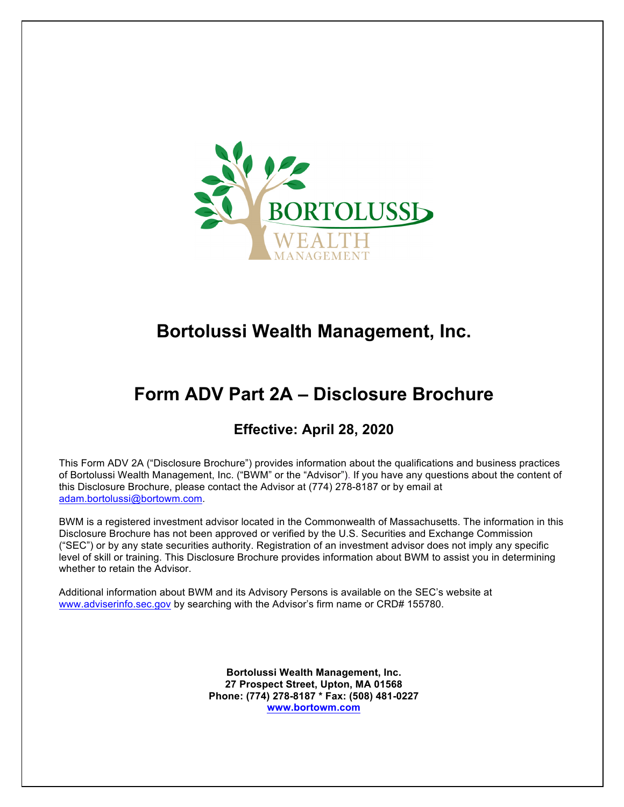

# **Bortolussi Wealth Management, Inc.**

# **Form ADV Part 2A – Disclosure Brochure**

## **Effective: April 28, 2020**

This Form ADV 2A ("Disclosure Brochure") provides information about the qualifications and business practices of Bortolussi Wealth Management, Inc. ("BWM" or the "Advisor"). If you have any questions about the content of this Disclosure Brochure, please contact the Advisor at (774) 278-8187 or by email at adam.bortolussi@bortowm.com.

BWM is a registered investment advisor located in the Commonwealth of Massachusetts. The information in this Disclosure Brochure has not been approved or verified by the U.S. Securities and Exchange Commission ("SEC") or by any state securities authority. Registration of an investment advisor does not imply any specific level of skill or training. This Disclosure Brochure provides information about BWM to assist you in determining whether to retain the Advisor.

Additional information about BWM and its Advisory Persons is available on the SEC's website at www.adviserinfo.sec.gov by searching with the Advisor's firm name or CRD# 155780.

> **Bortolussi Wealth Management, Inc. 27 Prospect Street, Upton, MA 01568 Phone: (774) 278-8187 \* Fax: (508) 481-0227 www.bortowm.com**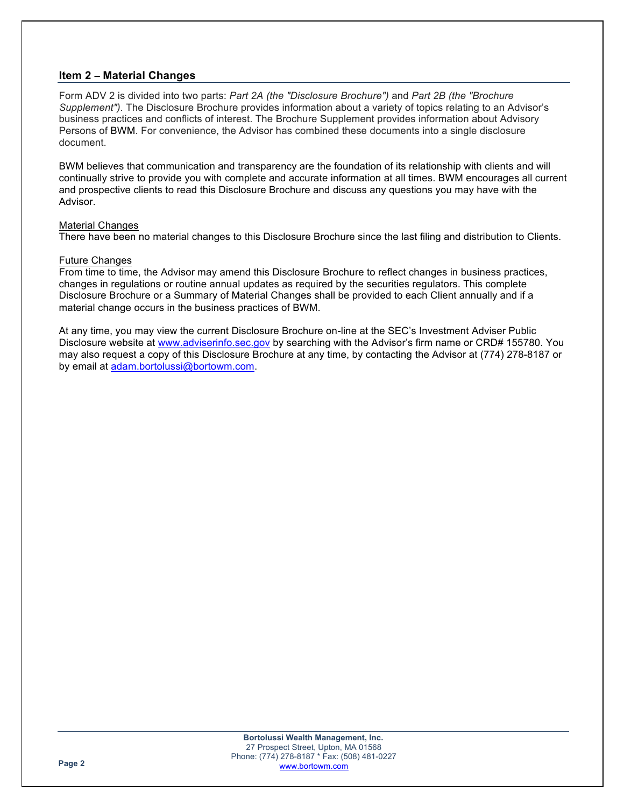## **Item 2 – Material Changes**

Form ADV 2 is divided into two parts: *Part 2A (the "Disclosure Brochure")* and *Part 2B (the "Brochure Supplement")*. The Disclosure Brochure provides information about a variety of topics relating to an Advisor's business practices and conflicts of interest. The Brochure Supplement provides information about Advisory Persons of BWM. For convenience, the Advisor has combined these documents into a single disclosure document.

BWM believes that communication and transparency are the foundation of its relationship with clients and will continually strive to provide you with complete and accurate information at all times. BWM encourages all current and prospective clients to read this Disclosure Brochure and discuss any questions you may have with the Advisor.

#### Material Changes

There have been no material changes to this Disclosure Brochure since the last filing and distribution to Clients.

#### Future Changes

From time to time, the Advisor may amend this Disclosure Brochure to reflect changes in business practices, changes in regulations or routine annual updates as required by the securities regulators. This complete Disclosure Brochure or a Summary of Material Changes shall be provided to each Client annually and if a material change occurs in the business practices of BWM.

At any time, you may view the current Disclosure Brochure on-line at the SEC's Investment Adviser Public Disclosure website at www.adviserinfo.sec.gov by searching with the Advisor's firm name or CRD# 155780. You may also request a copy of this Disclosure Brochure at any time, by contacting the Advisor at (774) 278-8187 or by email at adam.bortolussi@bortowm.com.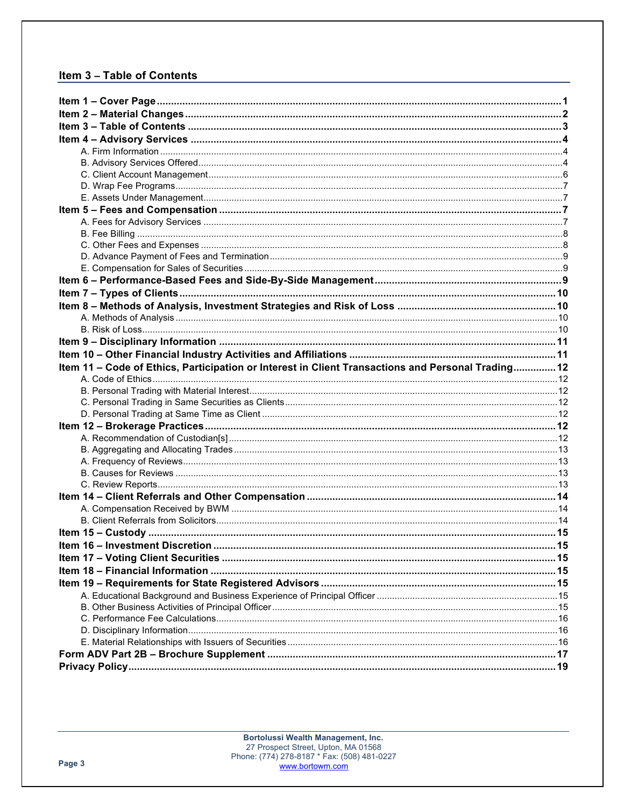## Item 3 - Table of Contents

| Item 11 - Code of Ethics, Participation or Interest in Client Transactions and Personal Trading 12 |  |
|----------------------------------------------------------------------------------------------------|--|
|                                                                                                    |  |
|                                                                                                    |  |
|                                                                                                    |  |
|                                                                                                    |  |
|                                                                                                    |  |
|                                                                                                    |  |
|                                                                                                    |  |
|                                                                                                    |  |
|                                                                                                    |  |
|                                                                                                    |  |
|                                                                                                    |  |
|                                                                                                    |  |
|                                                                                                    |  |
|                                                                                                    |  |
|                                                                                                    |  |
|                                                                                                    |  |
|                                                                                                    |  |
|                                                                                                    |  |
|                                                                                                    |  |
|                                                                                                    |  |
|                                                                                                    |  |
|                                                                                                    |  |
|                                                                                                    |  |
|                                                                                                    |  |
|                                                                                                    |  |
|                                                                                                    |  |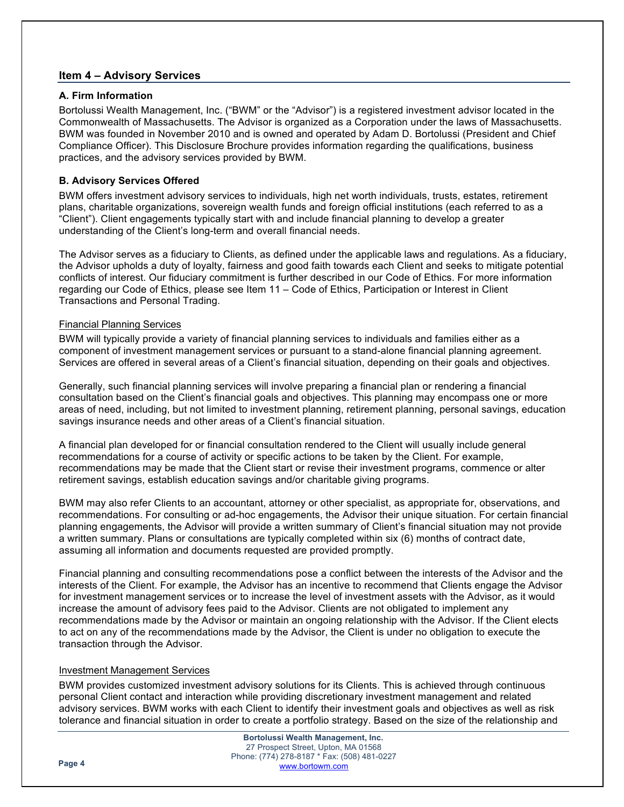## **Item 4 – Advisory Services**

#### **A. Firm Information**

Bortolussi Wealth Management, Inc. ("BWM" or the "Advisor") is a registered investment advisor located in the Commonwealth of Massachusetts. The Advisor is organized as a Corporation under the laws of Massachusetts. BWM was founded in November 2010 and is owned and operated by Adam D. Bortolussi (President and Chief Compliance Officer). This Disclosure Brochure provides information regarding the qualifications, business practices, and the advisory services provided by BWM.

## **B. Advisory Services Offered**

BWM offers investment advisory services to individuals, high net worth individuals, trusts, estates, retirement plans, charitable organizations, sovereign wealth funds and foreign official institutions (each referred to as a "Client"). Client engagements typically start with and include financial planning to develop a greater understanding of the Client's long-term and overall financial needs.

The Advisor serves as a fiduciary to Clients, as defined under the applicable laws and regulations. As a fiduciary, the Advisor upholds a duty of loyalty, fairness and good faith towards each Client and seeks to mitigate potential conflicts of interest. Our fiduciary commitment is further described in our Code of Ethics. For more information regarding our Code of Ethics, please see Item 11 – Code of Ethics, Participation or Interest in Client Transactions and Personal Trading.

#### Financial Planning Services

BWM will typically provide a variety of financial planning services to individuals and families either as a component of investment management services or pursuant to a stand-alone financial planning agreement. Services are offered in several areas of a Client's financial situation, depending on their goals and objectives.

Generally, such financial planning services will involve preparing a financial plan or rendering a financial consultation based on the Client's financial goals and objectives. This planning may encompass one or more areas of need, including, but not limited to investment planning, retirement planning, personal savings, education savings insurance needs and other areas of a Client's financial situation.

A financial plan developed for or financial consultation rendered to the Client will usually include general recommendations for a course of activity or specific actions to be taken by the Client. For example, recommendations may be made that the Client start or revise their investment programs, commence or alter retirement savings, establish education savings and/or charitable giving programs.

BWM may also refer Clients to an accountant, attorney or other specialist, as appropriate for, observations, and recommendations. For consulting or ad-hoc engagements, the Advisor their unique situation. For certain financial planning engagements, the Advisor will provide a written summary of Client's financial situation may not provide a written summary. Plans or consultations are typically completed within six (6) months of contract date, assuming all information and documents requested are provided promptly.

Financial planning and consulting recommendations pose a conflict between the interests of the Advisor and the interests of the Client. For example, the Advisor has an incentive to recommend that Clients engage the Advisor for investment management services or to increase the level of investment assets with the Advisor, as it would increase the amount of advisory fees paid to the Advisor. Clients are not obligated to implement any recommendations made by the Advisor or maintain an ongoing relationship with the Advisor. If the Client elects to act on any of the recommendations made by the Advisor, the Client is under no obligation to execute the transaction through the Advisor.

#### Investment Management Services

BWM provides customized investment advisory solutions for its Clients. This is achieved through continuous personal Client contact and interaction while providing discretionary investment management and related advisory services. BWM works with each Client to identify their investment goals and objectives as well as risk tolerance and financial situation in order to create a portfolio strategy. Based on the size of the relationship and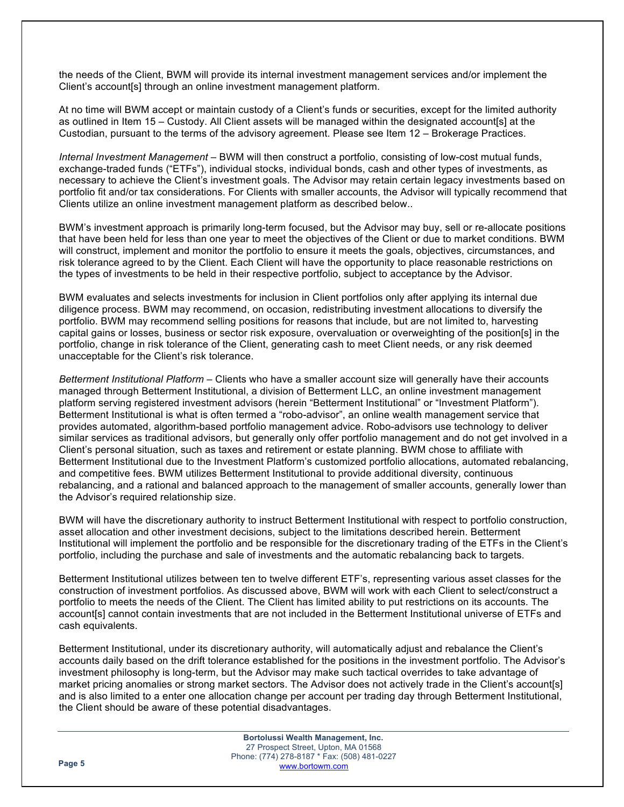the needs of the Client, BWM will provide its internal investment management services and/or implement the Client's account[s] through an online investment management platform.

At no time will BWM accept or maintain custody of a Client's funds or securities, except for the limited authority as outlined in Item 15 – Custody. All Client assets will be managed within the designated account[s] at the Custodian, pursuant to the terms of the advisory agreement. Please see Item 12 – Brokerage Practices.

*Internal Investment Management* – BWM will then construct a portfolio, consisting of low-cost mutual funds, exchange-traded funds ("ETFs"), individual stocks, individual bonds, cash and other types of investments, as necessary to achieve the Client's investment goals. The Advisor may retain certain legacy investments based on portfolio fit and/or tax considerations. For Clients with smaller accounts, the Advisor will typically recommend that Clients utilize an online investment management platform as described below..

BWM's investment approach is primarily long-term focused, but the Advisor may buy, sell or re-allocate positions that have been held for less than one year to meet the objectives of the Client or due to market conditions. BWM will construct, implement and monitor the portfolio to ensure it meets the goals, objectives, circumstances, and risk tolerance agreed to by the Client. Each Client will have the opportunity to place reasonable restrictions on the types of investments to be held in their respective portfolio, subject to acceptance by the Advisor.

BWM evaluates and selects investments for inclusion in Client portfolios only after applying its internal due diligence process. BWM may recommend, on occasion, redistributing investment allocations to diversify the portfolio. BWM may recommend selling positions for reasons that include, but are not limited to, harvesting capital gains or losses, business or sector risk exposure, overvaluation or overweighting of the position[s] in the portfolio, change in risk tolerance of the Client, generating cash to meet Client needs, or any risk deemed unacceptable for the Client's risk tolerance.

*Betterment Institutional Platform* – Clients who have a smaller account size will generally have their accounts managed through Betterment Institutional, a division of Betterment LLC, an online investment management platform serving registered investment advisors (herein "Betterment Institutional" or "Investment Platform"). Betterment Institutional is what is often termed a "robo-advisor", an online wealth management service that provides automated, algorithm-based portfolio management advice. Robo-advisors use technology to deliver similar services as traditional advisors, but generally only offer portfolio management and do not get involved in a Client's personal situation, such as taxes and retirement or estate planning. BWM chose to affiliate with Betterment Institutional due to the Investment Platform's customized portfolio allocations, automated rebalancing, and competitive fees. BWM utilizes Betterment Institutional to provide additional diversity, continuous rebalancing, and a rational and balanced approach to the management of smaller accounts, generally lower than the Advisor's required relationship size.

BWM will have the discretionary authority to instruct Betterment Institutional with respect to portfolio construction, asset allocation and other investment decisions, subject to the limitations described herein. Betterment Institutional will implement the portfolio and be responsible for the discretionary trading of the ETFs in the Client's portfolio, including the purchase and sale of investments and the automatic rebalancing back to targets.

Betterment Institutional utilizes between ten to twelve different ETF's, representing various asset classes for the construction of investment portfolios. As discussed above, BWM will work with each Client to select/construct a portfolio to meets the needs of the Client. The Client has limited ability to put restrictions on its accounts. The account[s] cannot contain investments that are not included in the Betterment Institutional universe of ETFs and cash equivalents.

Betterment Institutional, under its discretionary authority, will automatically adjust and rebalance the Client's accounts daily based on the drift tolerance established for the positions in the investment portfolio. The Advisor's investment philosophy is long-term, but the Advisor may make such tactical overrides to take advantage of market pricing anomalies or strong market sectors. The Advisor does not actively trade in the Client's account[s] and is also limited to a enter one allocation change per account per trading day through Betterment Institutional, the Client should be aware of these potential disadvantages.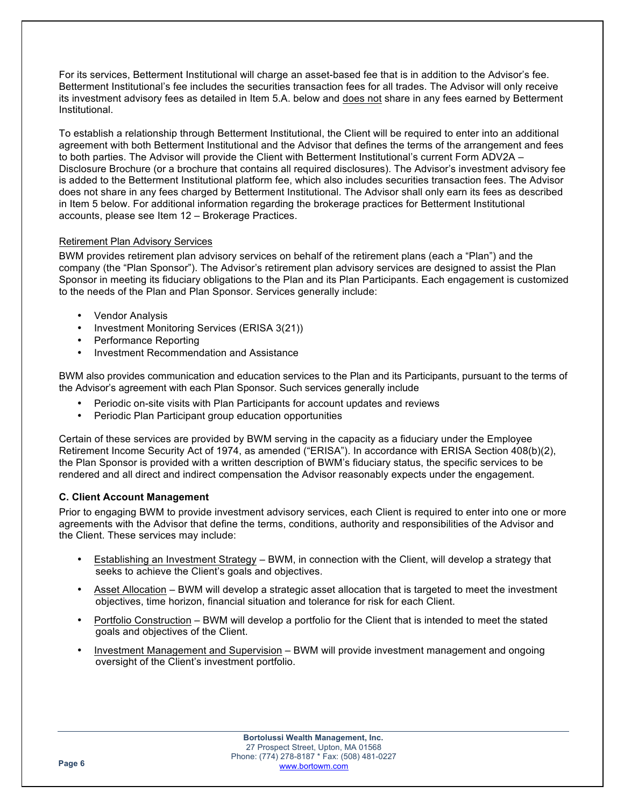For its services, Betterment Institutional will charge an asset-based fee that is in addition to the Advisor's fee. Betterment Institutional's fee includes the securities transaction fees for all trades. The Advisor will only receive its investment advisory fees as detailed in Item 5.A. below and does not share in any fees earned by Betterment Institutional.

To establish a relationship through Betterment Institutional, the Client will be required to enter into an additional agreement with both Betterment Institutional and the Advisor that defines the terms of the arrangement and fees to both parties. The Advisor will provide the Client with Betterment Institutional's current Form ADV2A – Disclosure Brochure (or a brochure that contains all required disclosures). The Advisor's investment advisory fee is added to the Betterment Institutional platform fee, which also includes securities transaction fees. The Advisor does not share in any fees charged by Betterment Institutional. The Advisor shall only earn its fees as described in Item 5 below. For additional information regarding the brokerage practices for Betterment Institutional accounts, please see Item 12 – Brokerage Practices.

## Retirement Plan Advisory Services

BWM provides retirement plan advisory services on behalf of the retirement plans (each a "Plan") and the company (the "Plan Sponsor"). The Advisor's retirement plan advisory services are designed to assist the Plan Sponsor in meeting its fiduciary obligations to the Plan and its Plan Participants. Each engagement is customized to the needs of the Plan and Plan Sponsor. Services generally include:

- Vendor Analysis
- Investment Monitoring Services (ERISA 3(21))
- Performance Reporting
- Investment Recommendation and Assistance

BWM also provides communication and education services to the Plan and its Participants, pursuant to the terms of the Advisor's agreement with each Plan Sponsor. Such services generally include

- Periodic on-site visits with Plan Participants for account updates and reviews
- Periodic Plan Participant group education opportunities

Certain of these services are provided by BWM serving in the capacity as a fiduciary under the Employee Retirement Income Security Act of 1974, as amended ("ERISA"). In accordance with ERISA Section 408(b)(2), the Plan Sponsor is provided with a written description of BWM's fiduciary status, the specific services to be rendered and all direct and indirect compensation the Advisor reasonably expects under the engagement.

## **C. Client Account Management**

Prior to engaging BWM to provide investment advisory services, each Client is required to enter into one or more agreements with the Advisor that define the terms, conditions, authority and responsibilities of the Advisor and the Client. These services may include:

- Establishing an Investment Strategy BWM, in connection with the Client, will develop a strategy that seeks to achieve the Client's goals and objectives.
- Asset Allocation BWM will develop a strategic asset allocation that is targeted to meet the investment objectives, time horizon, financial situation and tolerance for risk for each Client.
- Portfolio Construction BWM will develop a portfolio for the Client that is intended to meet the stated goals and objectives of the Client.
- Investment Management and Supervision BWM will provide investment management and ongoing oversight of the Client's investment portfolio.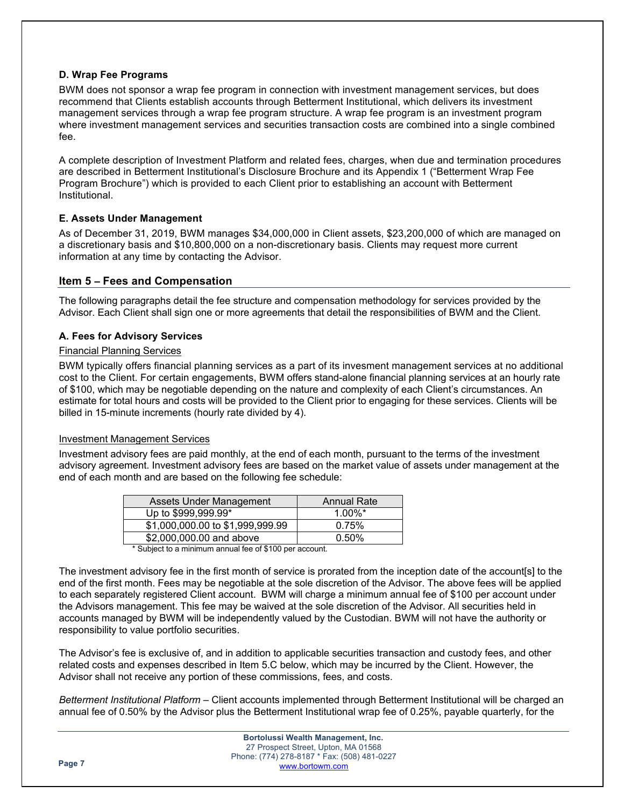## **D. Wrap Fee Programs**

BWM does not sponsor a wrap fee program in connection with investment management services, but does recommend that Clients establish accounts through Betterment Institutional, which delivers its investment management services through a wrap fee program structure. A wrap fee program is an investment program where investment management services and securities transaction costs are combined into a single combined fee.

A complete description of Investment Platform and related fees, charges, when due and termination procedures are described in Betterment Institutional's Disclosure Brochure and its Appendix 1 ("Betterment Wrap Fee Program Brochure") which is provided to each Client prior to establishing an account with Betterment Institutional.

## **E. Assets Under Management**

As of December 31, 2019, BWM manages \$34,000,000 in Client assets, \$23,200,000 of which are managed on a discretionary basis and \$10,800,000 on a non-discretionary basis. Clients may request more current information at any time by contacting the Advisor.

## **Item 5 – Fees and Compensation**

The following paragraphs detail the fee structure and compensation methodology for services provided by the Advisor. Each Client shall sign one or more agreements that detail the responsibilities of BWM and the Client.

#### **A. Fees for Advisory Services**

#### Financial Planning Services

BWM typically offers financial planning services as a part of its invesment management services at no additional cost to the Client. For certain engagements, BWM offers stand-alone financial planning services at an hourly rate of \$100, which may be negotiable depending on the nature and complexity of each Client's circumstances. An estimate for total hours and costs will be provided to the Client prior to engaging for these services. Clients will be billed in 15-minute increments (hourly rate divided by 4).

#### Investment Management Services

Investment advisory fees are paid monthly, at the end of each month, pursuant to the terms of the investment advisory agreement. Investment advisory fees are based on the market value of assets under management at the end of each month and are based on the following fee schedule:

| Assets Under Management                 | <b>Annual Rate</b> |
|-----------------------------------------|--------------------|
| Up to \$999,999.99*                     | $1.00\%$ *         |
| \$1,000,000.00 to \$1,999,999.99        | 0.75%              |
| \$2,000,000.00 and above                | 0.50%              |
| $\cdot$ $\cdot$<br>$\cdots$<br>$-0.100$ |                    |

\* Subject to a minimum annual fee of \$100 per account.

The investment advisory fee in the first month of service is prorated from the inception date of the account[s] to the end of the first month. Fees may be negotiable at the sole discretion of the Advisor. The above fees will be applied to each separately registered Client account. BWM will charge a minimum annual fee of \$100 per account under the Advisors management. This fee may be waived at the sole discretion of the Advisor. All securities held in accounts managed by BWM will be independently valued by the Custodian. BWM will not have the authority or responsibility to value portfolio securities.

The Advisor's fee is exclusive of, and in addition to applicable securities transaction and custody fees, and other related costs and expenses described in Item 5.C below, which may be incurred by the Client. However, the Advisor shall not receive any portion of these commissions, fees, and costs.

*Betterment Institutional Platform* – Client accounts implemented through Betterment Institutional will be charged an annual fee of 0.50% by the Advisor plus the Betterment Institutional wrap fee of 0.25%, payable quarterly, for the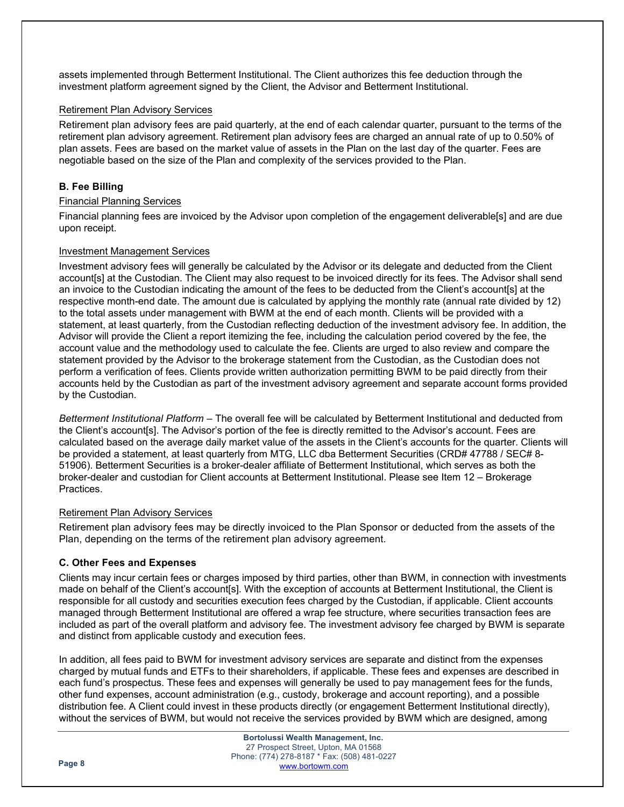assets implemented through Betterment Institutional. The Client authorizes this fee deduction through the investment platform agreement signed by the Client, the Advisor and Betterment Institutional.

#### Retirement Plan Advisory Services

Retirement plan advisory fees are paid quarterly, at the end of each calendar quarter, pursuant to the terms of the retirement plan advisory agreement. Retirement plan advisory fees are charged an annual rate of up to 0.50% of plan assets. Fees are based on the market value of assets in the Plan on the last day of the quarter. Fees are negotiable based on the size of the Plan and complexity of the services provided to the Plan.

## **B. Fee Billing**

## Financial Planning Services

Financial planning fees are invoiced by the Advisor upon completion of the engagement deliverable[s] and are due upon receipt.

## Investment Management Services

Investment advisory fees will generally be calculated by the Advisor or its delegate and deducted from the Client account[s] at the Custodian. The Client may also request to be invoiced directly for its fees. The Advisor shall send an invoice to the Custodian indicating the amount of the fees to be deducted from the Client's account[s] at the respective month-end date. The amount due is calculated by applying the monthly rate (annual rate divided by 12) to the total assets under management with BWM at the end of each month. Clients will be provided with a statement, at least quarterly, from the Custodian reflecting deduction of the investment advisory fee. In addition, the Advisor will provide the Client a report itemizing the fee, including the calculation period covered by the fee, the account value and the methodology used to calculate the fee. Clients are urged to also review and compare the statement provided by the Advisor to the brokerage statement from the Custodian, as the Custodian does not perform a verification of fees. Clients provide written authorization permitting BWM to be paid directly from their accounts held by the Custodian as part of the investment advisory agreement and separate account forms provided by the Custodian.

*Betterment Institutional Platform* – The overall fee will be calculated by Betterment Institutional and deducted from the Client's account[s]. The Advisor's portion of the fee is directly remitted to the Advisor's account. Fees are calculated based on the average daily market value of the assets in the Client's accounts for the quarter. Clients will be provided a statement, at least quarterly from MTG, LLC dba Betterment Securities (CRD# 47788 / SEC# 8-51906). Betterment Securities is a broker-dealer affiliate of Betterment Institutional, which serves as both the broker-dealer and custodian for Client accounts at Betterment Institutional. Please see Item 12 – Brokerage Practices.

#### Retirement Plan Advisory Services

Retirement plan advisory fees may be directly invoiced to the Plan Sponsor or deducted from the assets of the Plan, depending on the terms of the retirement plan advisory agreement.

## **C. Other Fees and Expenses**

Clients may incur certain fees or charges imposed by third parties, other than BWM, in connection with investments made on behalf of the Client's account[s]. With the exception of accounts at Betterment Institutional, the Client is responsible for all custody and securities execution fees charged by the Custodian, if applicable. Client accounts managed through Betterment Institutional are offered a wrap fee structure, where securities transaction fees are included as part of the overall platform and advisory fee. The investment advisory fee charged by BWM is separate and distinct from applicable custody and execution fees.

In addition, all fees paid to BWM for investment advisory services are separate and distinct from the expenses charged by mutual funds and ETFs to their shareholders, if applicable. These fees and expenses are described in each fund's prospectus. These fees and expenses will generally be used to pay management fees for the funds, other fund expenses, account administration (e.g., custody, brokerage and account reporting), and a possible distribution fee. A Client could invest in these products directly (or engagement Betterment Institutional directly), without the services of BWM, but would not receive the services provided by BWM which are designed, among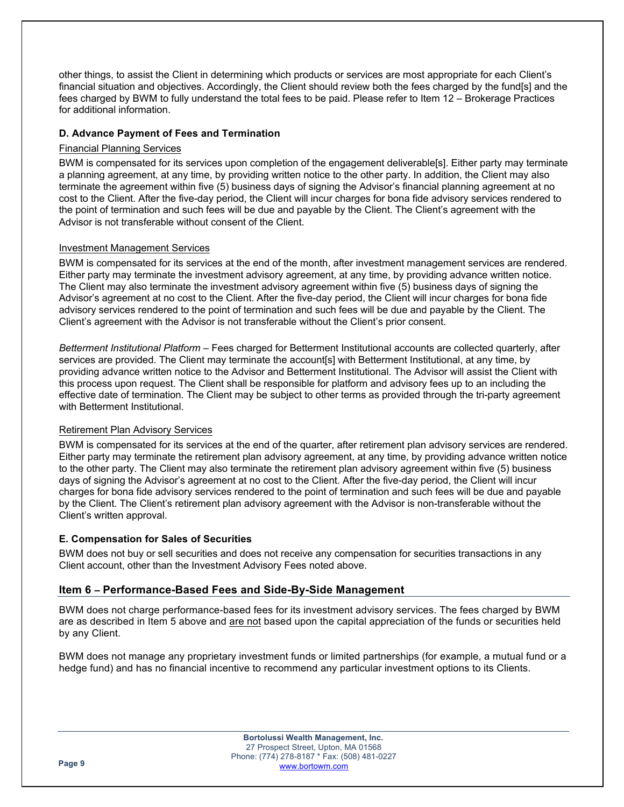other things, to assist the Client in determining which products or services are most appropriate for each Client's financial situation and objectives. Accordingly, the Client should review both the fees charged by the fund[s] and the fees charged by BWM to fully understand the total fees to be paid. Please refer to Item 12 – Brokerage Practices for additional information.

## **D. Advance Payment of Fees and Termination**

## Financial Planning Services

BWM is compensated for its services upon completion of the engagement deliverable[s]. Either party may terminate a planning agreement, at any time, by providing written notice to the other party. In addition, the Client may also terminate the agreement within five (5) business days of signing the Advisor's financial planning agreement at no cost to the Client. After the five-day period, the Client will incur charges for bona fide advisory services rendered to the point of termination and such fees will be due and payable by the Client. The Client's agreement with the Advisor is not transferable without consent of the Client.

## Investment Management Services

BWM is compensated for its services at the end of the month, after investment management services are rendered. Either party may terminate the investment advisory agreement, at any time, by providing advance written notice. The Client may also terminate the investment advisory agreement within five (5) business days of signing the Advisor's agreement at no cost to the Client. After the five-day period, the Client will incur charges for bona fide advisory services rendered to the point of termination and such fees will be due and payable by the Client. The Client's agreement with the Advisor is not transferable without the Client's prior consent.

*Betterment Institutional Platform* – Fees charged for Betterment Institutional accounts are collected quarterly, after services are provided. The Client may terminate the account[s] with Betterment Institutional, at any time, by providing advance written notice to the Advisor and Betterment Institutional. The Advisor will assist the Client with this process upon request. The Client shall be responsible for platform and advisory fees up to an including the effective date of termination. The Client may be subject to other terms as provided through the tri-party agreement with Betterment Institutional.

#### Retirement Plan Advisory Services

BWM is compensated for its services at the end of the quarter, after retirement plan advisory services are rendered. Either party may terminate the retirement plan advisory agreement, at any time, by providing advance written notice to the other party. The Client may also terminate the retirement plan advisory agreement within five (5) business days of signing the Advisor's agreement at no cost to the Client. After the five-day period, the Client will incur charges for bona fide advisory services rendered to the point of termination and such fees will be due and payable by the Client. The Client's retirement plan advisory agreement with the Advisor is non-transferable without the Client's written approval.

#### **E. Compensation for Sales of Securities**

BWM does not buy or sell securities and does not receive any compensation for securities transactions in any Client account, other than the Investment Advisory Fees noted above.

## **Item 6 – Performance-Based Fees and Side-By-Side Management**

BWM does not charge performance-based fees for its investment advisory services. The fees charged by BWM are as described in Item 5 above and are not based upon the capital appreciation of the funds or securities held by any Client.

BWM does not manage any proprietary investment funds or limited partnerships (for example, a mutual fund or a hedge fund) and has no financial incentive to recommend any particular investment options to its Clients.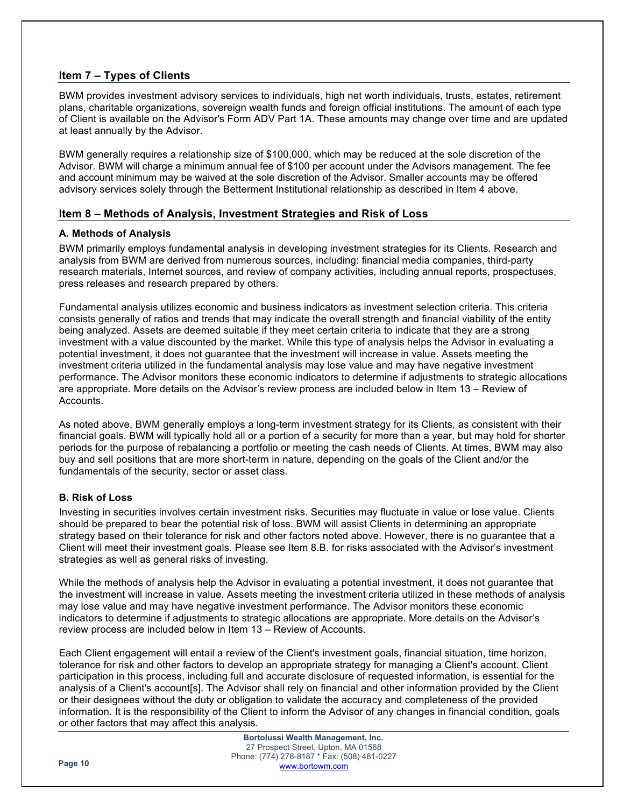## **Item 7 – Types of Clients**

BWM provides investment advisory services to individuals, high net worth individuals, trusts, estates, retirement plans, charitable organizations, sovereign wealth funds and foreign official institutions. The amount of each type of Client is available on the Advisor's Form ADV Part 1A. These amounts may change over time and are updated at least annually by the Advisor.

BWM generally requires a relationship size of \$100,000, which may be reduced at the sole discretion of the Advisor. BWM will charge a minimum annual fee of \$100 per account under the Advisors management. The fee and account minimum may be waived at the sole discretion of the Advisor. Smaller accounts may be offered advisory services solely through the Betterment Institutional relationship as described in Item 4 above.

## **Item 8 – Methods of Analysis, Investment Strategies and Risk of Loss**

## **A. Methods of Analysis**

BWM primarily employs fundamental analysis in developing investment strategies for its Clients. Research and analysis from BWM are derived from numerous sources, including: financial media companies, third-party research materials, Internet sources, and review of company activities, including annual reports, prospectuses, press releases and research prepared by others.

Fundamental analysis utilizes economic and business indicators as investment selection criteria. This criteria consists generally of ratios and trends that may indicate the overall strength and financial viability of the entity being analyzed. Assets are deemed suitable if they meet certain criteria to indicate that they are a strong investment with a value discounted by the market. While this type of analysis helps the Advisor in evaluating a potential investment, it does not guarantee that the investment will increase in value. Assets meeting the investment criteria utilized in the fundamental analysis may lose value and may have negative investment performance. The Advisor monitors these economic indicators to determine if adjustments to strategic allocations are appropriate. More details on the Advisor's review process are included below in Item 13 – Review of Accounts.

As noted above, BWM generally employs a long-term investment strategy for its Clients, as consistent with their financial goals. BWM will typically hold all or a portion of a security for more than a year, but may hold for shorter periods for the purpose of rebalancing a portfolio or meeting the cash needs of Clients. At times, BWM may also buy and sell positions that are more short-term in nature, depending on the goals of the Client and/or the fundamentals of the security, sector or asset class.

## **B. Risk of Loss**

Investing in securities involves certain investment risks. Securities may fluctuate in value or lose value. Clients should be prepared to bear the potential risk of loss. BWM will assist Clients in determining an appropriate strategy based on their tolerance for risk and other factors noted above. However, there is no guarantee that a Client will meet their investment goals. Please see Item 8.B. for risks associated with the Advisor's investment strategies as well as general risks of investing.

While the methods of analysis help the Advisor in evaluating a potential investment, it does not guarantee that the investment will increase in value. Assets meeting the investment criteria utilized in these methods of analysis may lose value and may have negative investment performance. The Advisor monitors these economic indicators to determine if adjustments to strategic allocations are appropriate. More details on the Advisor's review process are included below in Item 13 – Review of Accounts.

Each Client engagement will entail a review of the Client's investment goals, financial situation, time horizon, tolerance for risk and other factors to develop an appropriate strategy for managing a Client's account. Client participation in this process, including full and accurate disclosure of requested information, is essential for the analysis of a Client's account[s]. The Advisor shall rely on financial and other information provided by the Client or their designees without the duty or obligation to validate the accuracy and completeness of the provided information. It is the responsibility of the Client to inform the Advisor of any changes in financial condition, goals or other factors that may affect this analysis.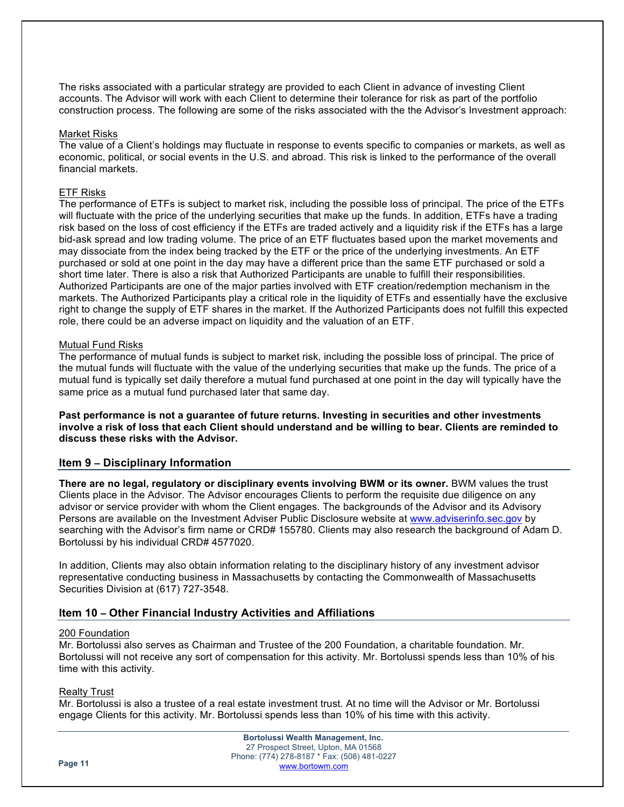The risks associated with a particular strategy are provided to each Client in advance of investing Client accounts. The Advisor will work with each Client to determine their tolerance for risk as part of the portfolio construction process. The following are some of the risks associated with the the Advisor's Investment approach:

#### Market Risks

The value of a Client's holdings may fluctuate in response to events specific to companies or markets, as well as economic, political, or social events in the U.S. and abroad. This risk is linked to the performance of the overall financial markets.

#### ETF Risks

The performance of ETFs is subject to market risk, including the possible loss of principal. The price of the ETFs will fluctuate with the price of the underlying securities that make up the funds. In addition, ETFs have a trading risk based on the loss of cost efficiency if the ETFs are traded actively and a liquidity risk if the ETFs has a large bid-ask spread and low trading volume. The price of an ETF fluctuates based upon the market movements and may dissociate from the index being tracked by the ETF or the price of the underlying investments. An ETF purchased or sold at one point in the day may have a different price than the same ETF purchased or sold a short time later. There is also a risk that Authorized Participants are unable to fulfill their responsibilities. Authorized Participants are one of the major parties involved with ETF creation/redemption mechanism in the markets. The Authorized Participants play a critical role in the liquidity of ETFs and essentially have the exclusive right to change the supply of ETF shares in the market. If the Authorized Participants does not fulfill this expected role, there could be an adverse impact on liquidity and the valuation of an ETF.

#### Mutual Fund Risks

The performance of mutual funds is subject to market risk, including the possible loss of principal. The price of the mutual funds will fluctuate with the value of the underlying securities that make up the funds. The price of a mutual fund is typically set daily therefore a mutual fund purchased at one point in the day will typically have the same price as a mutual fund purchased later that same day.

**Past performance is not a guarantee of future returns. Investing in securities and other investments involve a risk of loss that each Client should understand and be willing to bear. Clients are reminded to discuss these risks with the Advisor.** 

#### **Item 9 – Disciplinary Information**

**There are no legal, regulatory or disciplinary events involving BWM or its owner.** BWM values the trust Clients place in the Advisor. The Advisor encourages Clients to perform the requisite due diligence on any advisor or service provider with whom the Client engages. The backgrounds of the Advisor and its Advisory Persons are available on the Investment Adviser Public Disclosure website at www.adviserinfo.sec.gov by searching with the Advisor's firm name or CRD# 155780. Clients may also research the background of Adam D. Bortolussi by his individual CRD# 4577020.

In addition, Clients may also obtain information relating to the disciplinary history of any investment advisor representative conducting business in Massachusetts by contacting the Commonwealth of Massachusetts Securities Division at (617) 727-3548.

#### **Item 10 – Other Financial Industry Activities and Affiliations**

#### 200 Foundation

Mr. Bortolussi also serves as Chairman and Trustee of the 200 Foundation, a charitable foundation. Mr. Bortolussi will not receive any sort of compensation for this activity. Mr. Bortolussi spends less than 10% of his time with this activity.

#### Realty Trust

Mr. Bortolussi is also a trustee of a real estate investment trust. At no time will the Advisor or Mr. Bortolussi engage Clients for this activity. Mr. Bortolussi spends less than 10% of his time with this activity.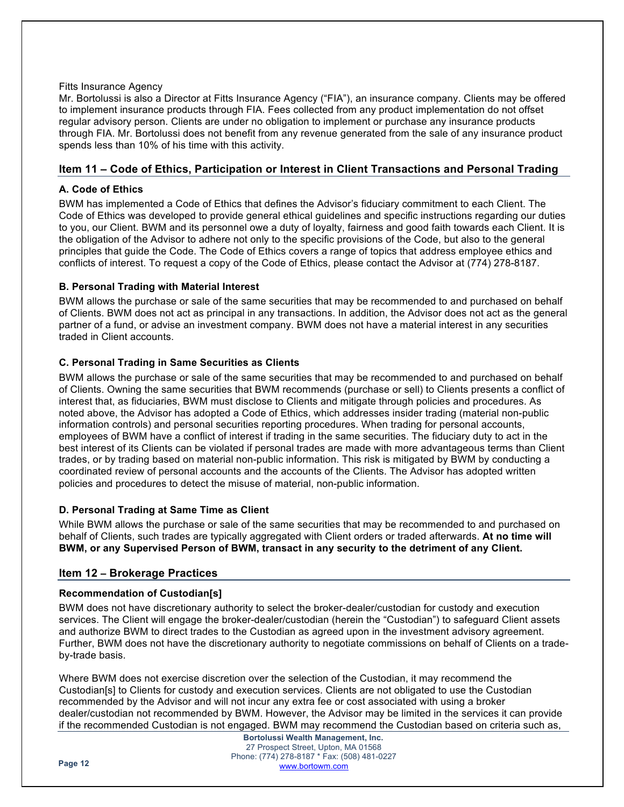#### Fitts Insurance Agency

Mr. Bortolussi is also a Director at Fitts Insurance Agency ("FIA"), an insurance company. Clients may be offered to implement insurance products through FIA. Fees collected from any product implementation do not offset regular advisory person. Clients are under no obligation to implement or purchase any insurance products through FIA. Mr. Bortolussi does not benefit from any revenue generated from the sale of any insurance product spends less than 10% of his time with this activity.

## **Item 11 – Code of Ethics, Participation or Interest in Client Transactions and Personal Trading**

## **A. Code of Ethics**

BWM has implemented a Code of Ethics that defines the Advisor's fiduciary commitment to each Client. The Code of Ethics was developed to provide general ethical guidelines and specific instructions regarding our duties to you, our Client. BWM and its personnel owe a duty of loyalty, fairness and good faith towards each Client. It is the obligation of the Advisor to adhere not only to the specific provisions of the Code, but also to the general principles that guide the Code. The Code of Ethics covers a range of topics that address employee ethics and conflicts of interest. To request a copy of the Code of Ethics, please contact the Advisor at (774) 278-8187.

## **B. Personal Trading with Material Interest**

BWM allows the purchase or sale of the same securities that may be recommended to and purchased on behalf of Clients. BWM does not act as principal in any transactions. In addition, the Advisor does not act as the general partner of a fund, or advise an investment company. BWM does not have a material interest in any securities traded in Client accounts.

## **C. Personal Trading in Same Securities as Clients**

BWM allows the purchase or sale of the same securities that may be recommended to and purchased on behalf of Clients. Owning the same securities that BWM recommends (purchase or sell) to Clients presents a conflict of interest that, as fiduciaries, BWM must disclose to Clients and mitigate through policies and procedures. As noted above, the Advisor has adopted a Code of Ethics, which addresses insider trading (material non-public information controls) and personal securities reporting procedures. When trading for personal accounts, employees of BWM have a conflict of interest if trading in the same securities. The fiduciary duty to act in the best interest of its Clients can be violated if personal trades are made with more advantageous terms than Client trades, or by trading based on material non-public information. This risk is mitigated by BWM by conducting a coordinated review of personal accounts and the accounts of the Clients. The Advisor has adopted written policies and procedures to detect the misuse of material, non-public information.

## **D. Personal Trading at Same Time as Client**

While BWM allows the purchase or sale of the same securities that may be recommended to and purchased on behalf of Clients, such trades are typically aggregated with Client orders or traded afterwards. **At no time will BWM, or any Supervised Person of BWM, transact in any security to the detriment of any Client.** 

## **Item 12 – Brokerage Practices**

## **Recommendation of Custodian[s]**

BWM does not have discretionary authority to select the broker-dealer/custodian for custody and execution services. The Client will engage the broker-dealer/custodian (herein the "Custodian") to safeguard Client assets and authorize BWM to direct trades to the Custodian as agreed upon in the investment advisory agreement. Further, BWM does not have the discretionary authority to negotiate commissions on behalf of Clients on a tradeby-trade basis.

Where BWM does not exercise discretion over the selection of the Custodian, it may recommend the Custodian[s] to Clients for custody and execution services. Clients are not obligated to use the Custodian recommended by the Advisor and will not incur any extra fee or cost associated with using a broker dealer/custodian not recommended by BWM. However, the Advisor may be limited in the services it can provide if the recommended Custodian is not engaged. BWM may recommend the Custodian based on criteria such as,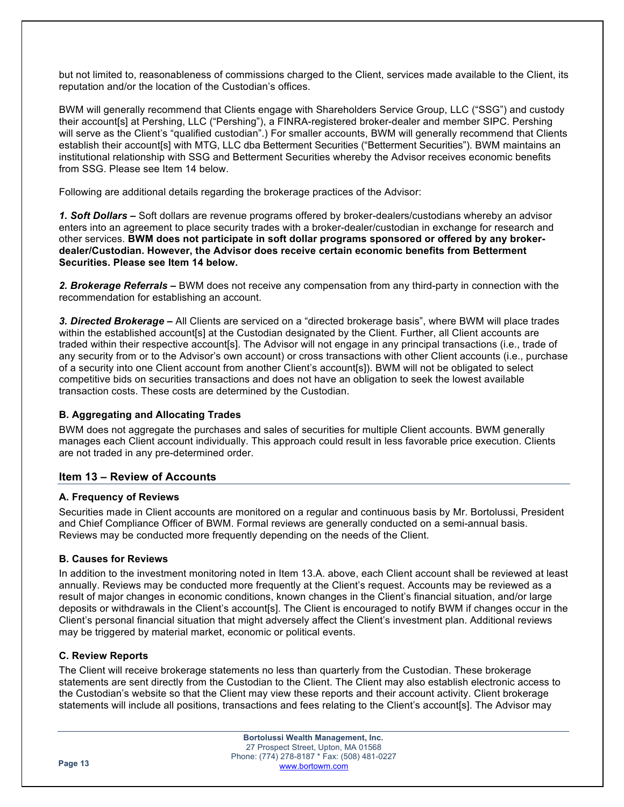but not limited to, reasonableness of commissions charged to the Client, services made available to the Client, its reputation and/or the location of the Custodian's offices.

BWM will generally recommend that Clients engage with Shareholders Service Group, LLC ("SSG") and custody their account[s] at Pershing, LLC ("Pershing"), a FINRA-registered broker-dealer and member SIPC. Pershing will serve as the Client's "qualified custodian".) For smaller accounts, BWM will generally recommend that Clients establish their account[s] with MTG, LLC dba Betterment Securities ("Betterment Securities"). BWM maintains an institutional relationship with SSG and Betterment Securities whereby the Advisor receives economic benefits from SSG. Please see Item 14 below.

Following are additional details regarding the brokerage practices of the Advisor:

*1. Soft Dollars –* Soft dollars are revenue programs offered by broker-dealers/custodians whereby an advisor enters into an agreement to place security trades with a broker-dealer/custodian in exchange for research and other services. **BWM does not participate in soft dollar programs sponsored or offered by any brokerdealer/Custodian. However, the Advisor does receive certain economic benefits from Betterment Securities. Please see Item 14 below.**

*2. Brokerage Referrals –* BWM does not receive any compensation from any third-party in connection with the recommendation for establishing an account.

*3. Directed Brokerage –* All Clients are serviced on a "directed brokerage basis", where BWM will place trades within the established account[s] at the Custodian designated by the Client. Further, all Client accounts are traded within their respective account[s]. The Advisor will not engage in any principal transactions (i.e., trade of any security from or to the Advisor's own account) or cross transactions with other Client accounts (i.e., purchase of a security into one Client account from another Client's account[s]). BWM will not be obligated to select competitive bids on securities transactions and does not have an obligation to seek the lowest available transaction costs. These costs are determined by the Custodian.

## **B. Aggregating and Allocating Trades**

BWM does not aggregate the purchases and sales of securities for multiple Client accounts. BWM generally manages each Client account individually. This approach could result in less favorable price execution. Clients are not traded in any pre-determined order.

## **Item 13 – Review of Accounts**

#### **A. Frequency of Reviews**

Securities made in Client accounts are monitored on a regular and continuous basis by Mr. Bortolussi, President and Chief Compliance Officer of BWM. Formal reviews are generally conducted on a semi-annual basis. Reviews may be conducted more frequently depending on the needs of the Client.

#### **B. Causes for Reviews**

In addition to the investment monitoring noted in Item 13.A. above, each Client account shall be reviewed at least annually. Reviews may be conducted more frequently at the Client's request. Accounts may be reviewed as a result of major changes in economic conditions, known changes in the Client's financial situation, and/or large deposits or withdrawals in the Client's account[s]. The Client is encouraged to notify BWM if changes occur in the Client's personal financial situation that might adversely affect the Client's investment plan. Additional reviews may be triggered by material market, economic or political events.

## **C. Review Reports**

The Client will receive brokerage statements no less than quarterly from the Custodian. These brokerage statements are sent directly from the Custodian to the Client. The Client may also establish electronic access to the Custodian's website so that the Client may view these reports and their account activity. Client brokerage statements will include all positions, transactions and fees relating to the Client's account[s]. The Advisor may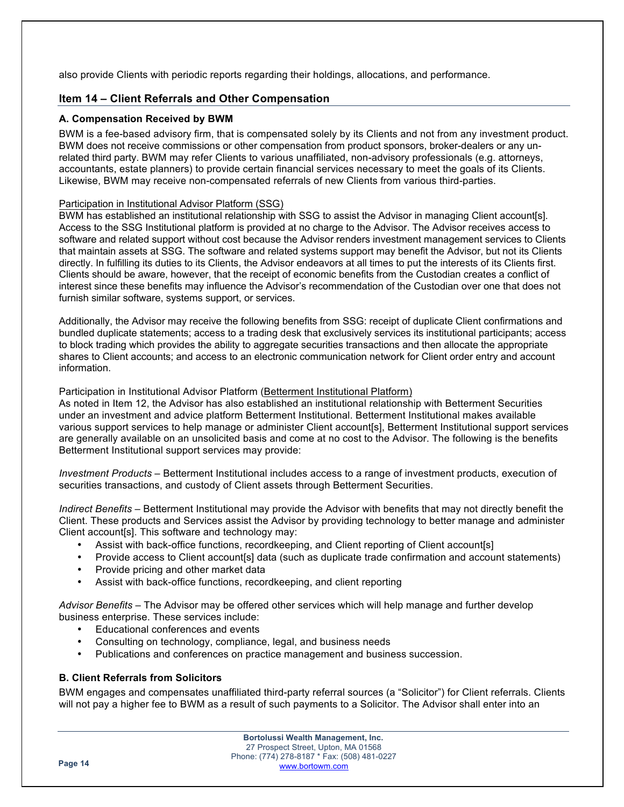also provide Clients with periodic reports regarding their holdings, allocations, and performance.

## **Item 14 – Client Referrals and Other Compensation**

#### **A. Compensation Received by BWM**

BWM is a fee-based advisory firm, that is compensated solely by its Clients and not from any investment product. BWM does not receive commissions or other compensation from product sponsors, broker-dealers or any unrelated third party. BWM may refer Clients to various unaffiliated, non-advisory professionals (e.g. attorneys, accountants, estate planners) to provide certain financial services necessary to meet the goals of its Clients. Likewise, BWM may receive non-compensated referrals of new Clients from various third-parties.

## Participation in Institutional Advisor Platform (SSG)

BWM has established an institutional relationship with SSG to assist the Advisor in managing Client account[s]. Access to the SSG Institutional platform is provided at no charge to the Advisor. The Advisor receives access to software and related support without cost because the Advisor renders investment management services to Clients that maintain assets at SSG. The software and related systems support may benefit the Advisor, but not its Clients directly. In fulfilling its duties to its Clients, the Advisor endeavors at all times to put the interests of its Clients first. Clients should be aware, however, that the receipt of economic benefits from the Custodian creates a conflict of interest since these benefits may influence the Advisor's recommendation of the Custodian over one that does not furnish similar software, systems support, or services.

Additionally, the Advisor may receive the following benefits from SSG: receipt of duplicate Client confirmations and bundled duplicate statements; access to a trading desk that exclusively services its institutional participants; access to block trading which provides the ability to aggregate securities transactions and then allocate the appropriate shares to Client accounts; and access to an electronic communication network for Client order entry and account information.

## Participation in Institutional Advisor Platform (Betterment Institutional Platform)

As noted in Item 12, the Advisor has also established an institutional relationship with Betterment Securities under an investment and advice platform Betterment Institutional. Betterment Institutional makes available various support services to help manage or administer Client account[s], Betterment Institutional support services are generally available on an unsolicited basis and come at no cost to the Advisor. The following is the benefits Betterment Institutional support services may provide:

*Investment Products –* Betterment Institutional includes access to a range of investment products, execution of securities transactions, and custody of Client assets through Betterment Securities.

*Indirect Benefits –* Betterment Institutional may provide the Advisor with benefits that may not directly benefit the Client. These products and Services assist the Advisor by providing technology to better manage and administer Client account[s]. This software and technology may:

- Assist with back-office functions, recordkeeping, and Client reporting of Client account[s]
- Provide access to Client account[s] data (such as duplicate trade confirmation and account statements)
- Provide pricing and other market data
- Assist with back-office functions, recordkeeping, and client reporting

*Advisor Benefits –* The Advisor may be offered other services which will help manage and further develop business enterprise. These services include:

- Educational conferences and events
- Consulting on technology, compliance, legal, and business needs
- Publications and conferences on practice management and business succession.

## **B. Client Referrals from Solicitors**

BWM engages and compensates unaffiliated third-party referral sources (a "Solicitor") for Client referrals. Clients will not pay a higher fee to BWM as a result of such payments to a Solicitor. The Advisor shall enter into an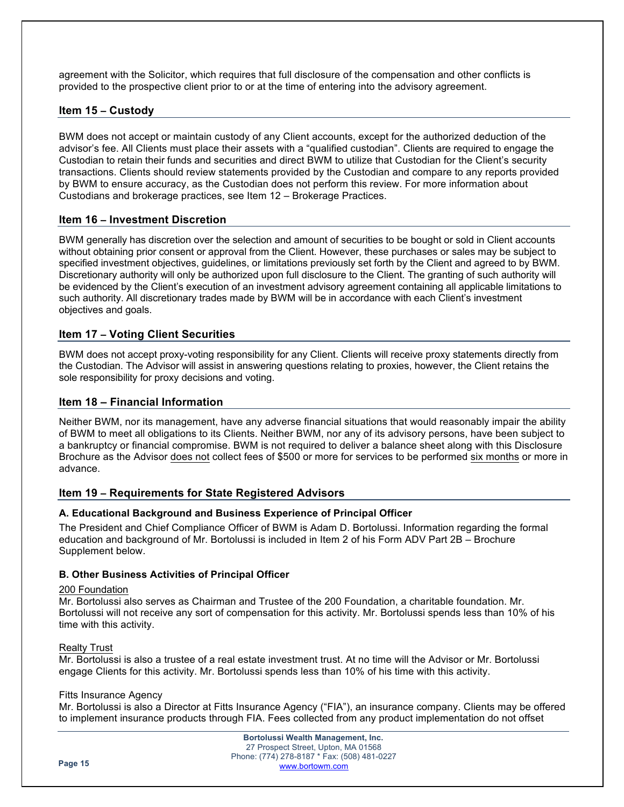agreement with the Solicitor, which requires that full disclosure of the compensation and other conflicts is provided to the prospective client prior to or at the time of entering into the advisory agreement.

## **Item 15 – Custody**

BWM does not accept or maintain custody of any Client accounts, except for the authorized deduction of the advisor's fee. All Clients must place their assets with a "qualified custodian". Clients are required to engage the Custodian to retain their funds and securities and direct BWM to utilize that Custodian for the Client's security transactions. Clients should review statements provided by the Custodian and compare to any reports provided by BWM to ensure accuracy, as the Custodian does not perform this review. For more information about Custodians and brokerage practices, see Item 12 – Brokerage Practices.

## **Item 16 – Investment Discretion**

BWM generally has discretion over the selection and amount of securities to be bought or sold in Client accounts without obtaining prior consent or approval from the Client. However, these purchases or sales may be subject to specified investment objectives, guidelines, or limitations previously set forth by the Client and agreed to by BWM. Discretionary authority will only be authorized upon full disclosure to the Client. The granting of such authority will be evidenced by the Client's execution of an investment advisory agreement containing all applicable limitations to such authority. All discretionary trades made by BWM will be in accordance with each Client's investment objectives and goals.

## **Item 17 – Voting Client Securities**

BWM does not accept proxy-voting responsibility for any Client. Clients will receive proxy statements directly from the Custodian. The Advisor will assist in answering questions relating to proxies, however, the Client retains the sole responsibility for proxy decisions and voting.

#### **Item 18 – Financial Information**

Neither BWM, nor its management, have any adverse financial situations that would reasonably impair the ability of BWM to meet all obligations to its Clients. Neither BWM, nor any of its advisory persons, have been subject to a bankruptcy or financial compromise. BWM is not required to deliver a balance sheet along with this Disclosure Brochure as the Advisor does not collect fees of \$500 or more for services to be performed six months or more in advance.

#### **Item 19 – Requirements for State Registered Advisors**

#### **A. Educational Background and Business Experience of Principal Officer**

The President and Chief Compliance Officer of BWM is Adam D. Bortolussi. Information regarding the formal education and background of Mr. Bortolussi is included in Item 2 of his Form ADV Part 2B – Brochure Supplement below.

#### **B. Other Business Activities of Principal Officer**

#### 200 Foundation

Mr. Bortolussi also serves as Chairman and Trustee of the 200 Foundation, a charitable foundation. Mr. Bortolussi will not receive any sort of compensation for this activity. Mr. Bortolussi spends less than 10% of his time with this activity.

#### Realty Trust

Mr. Bortolussi is also a trustee of a real estate investment trust. At no time will the Advisor or Mr. Bortolussi engage Clients for this activity. Mr. Bortolussi spends less than 10% of his time with this activity.

#### Fitts Insurance Agency

Mr. Bortolussi is also a Director at Fitts Insurance Agency ("FIA"), an insurance company. Clients may be offered to implement insurance products through FIA. Fees collected from any product implementation do not offset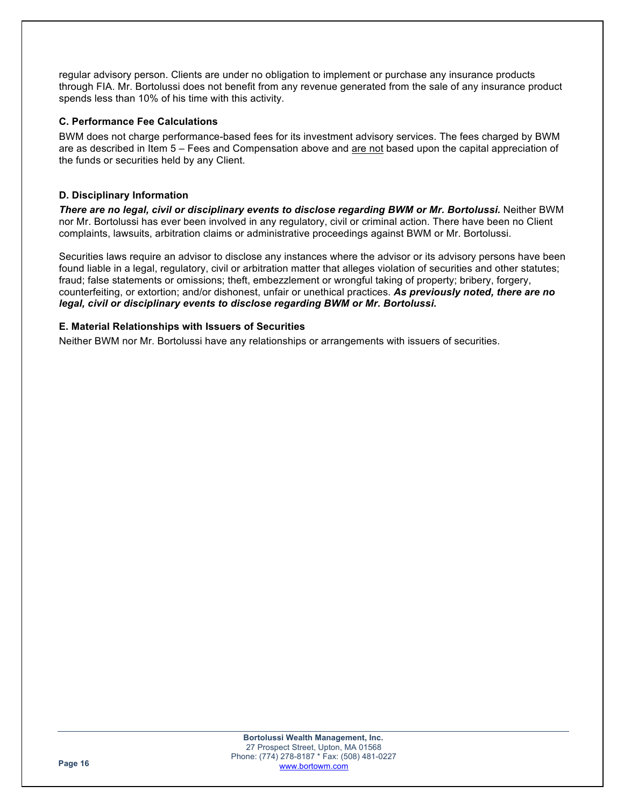regular advisory person. Clients are under no obligation to implement or purchase any insurance products through FIA. Mr. Bortolussi does not benefit from any revenue generated from the sale of any insurance product spends less than 10% of his time with this activity.

#### **C. Performance Fee Calculations**

BWM does not charge performance-based fees for its investment advisory services. The fees charged by BWM are as described in Item 5 – Fees and Compensation above and are not based upon the capital appreciation of the funds or securities held by any Client.

## **D. Disciplinary Information**

*There are no legal, civil or disciplinary events to disclose regarding BWM or Mr. Bortolussi.* Neither BWM nor Mr. Bortolussi has ever been involved in any regulatory, civil or criminal action. There have been no Client complaints, lawsuits, arbitration claims or administrative proceedings against BWM or Mr. Bortolussi.

Securities laws require an advisor to disclose any instances where the advisor or its advisory persons have been found liable in a legal, regulatory, civil or arbitration matter that alleges violation of securities and other statutes; fraud; false statements or omissions; theft, embezzlement or wrongful taking of property; bribery, forgery, counterfeiting, or extortion; and/or dishonest, unfair or unethical practices. *As previously noted, there are no legal, civil or disciplinary events to disclose regarding BWM or Mr. Bortolussi.*

## **E. Material Relationships with Issuers of Securities**

Neither BWM nor Mr. Bortolussi have any relationships or arrangements with issuers of securities.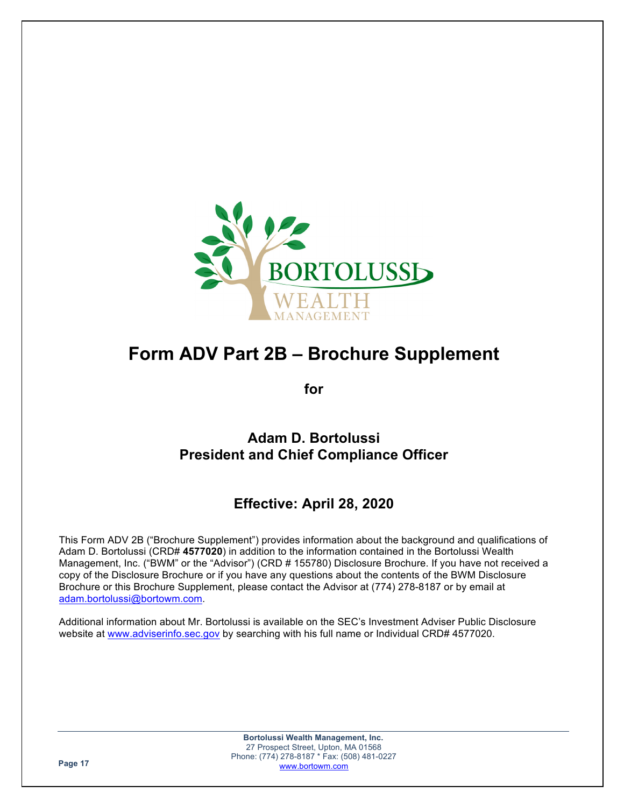

# **Form ADV Part 2B – Brochure Supplement**

**for**

## **Adam D. Bortolussi President and Chief Compliance Officer**

## **Effective: April 28, 2020**

This Form ADV 2B ("Brochure Supplement") provides information about the background and qualifications of Adam D. Bortolussi (CRD# **4577020**) in addition to the information contained in the Bortolussi Wealth Management, Inc. ("BWM" or the "Advisor") (CRD # 155780) Disclosure Brochure. If you have not received a copy of the Disclosure Brochure or if you have any questions about the contents of the BWM Disclosure Brochure or this Brochure Supplement, please contact the Advisor at (774) 278-8187 or by email at adam.bortolussi@bortowm.com.

Additional information about Mr. Bortolussi is available on the SEC's Investment Adviser Public Disclosure website at www.adviserinfo.sec.gov by searching with his full name or Individual CRD# 4577020.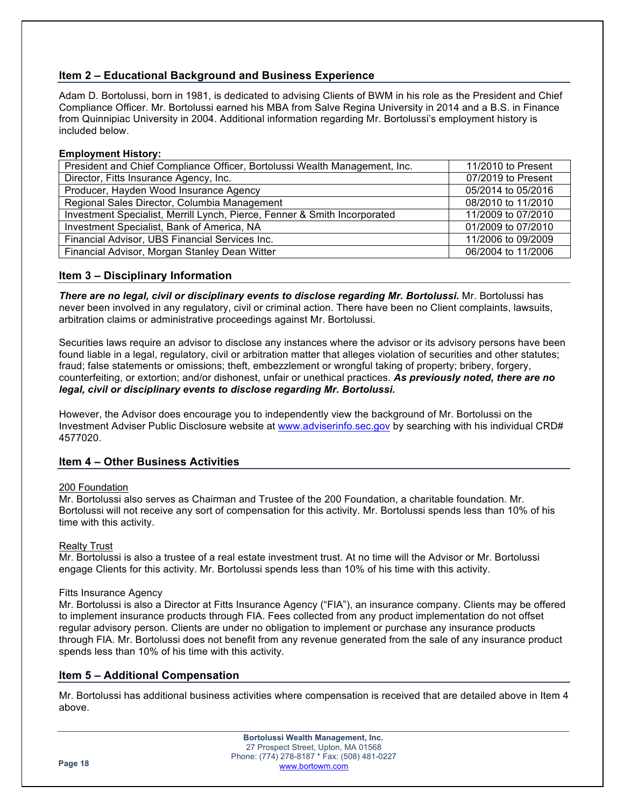## **Item 2 – Educational Background and Business Experience**

Adam D. Bortolussi, born in 1981, is dedicated to advising Clients of BWM in his role as the President and Chief Compliance Officer. Mr. Bortolussi earned his MBA from Salve Regina University in 2014 and a B.S. in Finance from Quinnipiac University in 2004. Additional information regarding Mr. Bortolussi's employment history is included below.

## **Employment History:**

| President and Chief Compliance Officer, Bortolussi Wealth Management, Inc. | 11/2010 to Present |
|----------------------------------------------------------------------------|--------------------|
| Director, Fitts Insurance Agency, Inc.                                     | 07/2019 to Present |
| Producer, Hayden Wood Insurance Agency                                     | 05/2014 to 05/2016 |
| Regional Sales Director, Columbia Management                               | 08/2010 to 11/2010 |
| Investment Specialist, Merrill Lynch, Pierce, Fenner & Smith Incorporated  | 11/2009 to 07/2010 |
| Investment Specialist, Bank of America, NA                                 | 01/2009 to 07/2010 |
| Financial Advisor, UBS Financial Services Inc.                             | 11/2006 to 09/2009 |
| Financial Advisor, Morgan Stanley Dean Witter                              | 06/2004 to 11/2006 |

## **Item 3 – Disciplinary Information**

*There are no legal, civil or disciplinary events to disclose regarding Mr. Bortolussi.* Mr. Bortolussi has never been involved in any regulatory, civil or criminal action. There have been no Client complaints, lawsuits, arbitration claims or administrative proceedings against Mr. Bortolussi.

Securities laws require an advisor to disclose any instances where the advisor or its advisory persons have been found liable in a legal, regulatory, civil or arbitration matter that alleges violation of securities and other statutes; fraud; false statements or omissions; theft, embezzlement or wrongful taking of property; bribery, forgery, counterfeiting, or extortion; and/or dishonest, unfair or unethical practices. *As previously noted, there are no legal, civil or disciplinary events to disclose regarding Mr. Bortolussi.*

However, the Advisor does encourage you to independently view the background of Mr. Bortolussi on the Investment Adviser Public Disclosure website at www.adviserinfo.sec.gov by searching with his individual CRD# 4577020.

## **Item 4 – Other Business Activities**

#### 200 Foundation

Mr. Bortolussi also serves as Chairman and Trustee of the 200 Foundation, a charitable foundation. Mr. Bortolussi will not receive any sort of compensation for this activity. Mr. Bortolussi spends less than 10% of his time with this activity.

#### Realty Trust

Mr. Bortolussi is also a trustee of a real estate investment trust. At no time will the Advisor or Mr. Bortolussi engage Clients for this activity. Mr. Bortolussi spends less than 10% of his time with this activity.

#### Fitts Insurance Agency

Mr. Bortolussi is also a Director at Fitts Insurance Agency ("FIA"), an insurance company. Clients may be offered to implement insurance products through FIA. Fees collected from any product implementation do not offset regular advisory person. Clients are under no obligation to implement or purchase any insurance products through FIA. Mr. Bortolussi does not benefit from any revenue generated from the sale of any insurance product spends less than 10% of his time with this activity.

#### **Item 5 – Additional Compensation**

Mr. Bortolussi has additional business activities where compensation is received that are detailed above in Item 4 above.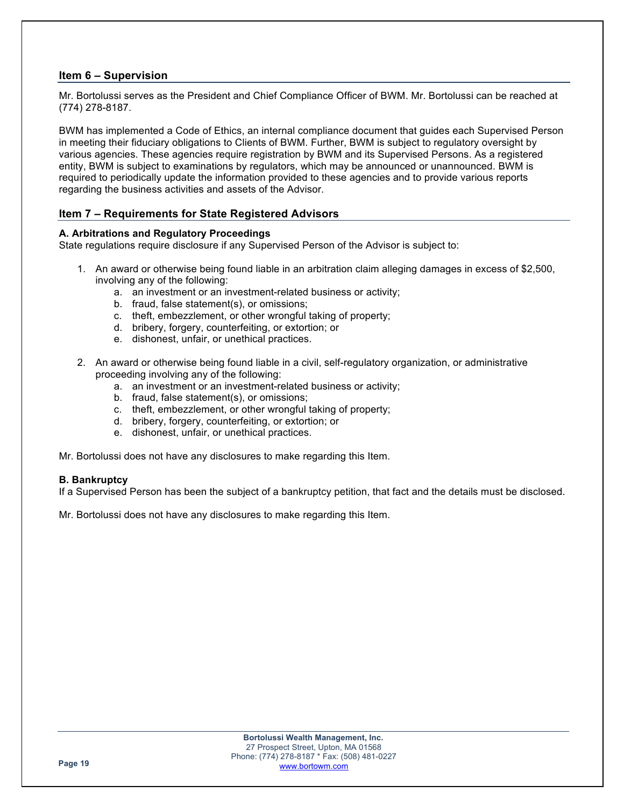## **Item 6 – Supervision**

Mr. Bortolussi serves as the President and Chief Compliance Officer of BWM. Mr. Bortolussi can be reached at (774) 278-8187.

BWM has implemented a Code of Ethics, an internal compliance document that guides each Supervised Person in meeting their fiduciary obligations to Clients of BWM. Further, BWM is subject to regulatory oversight by various agencies. These agencies require registration by BWM and its Supervised Persons. As a registered entity, BWM is subject to examinations by regulators, which may be announced or unannounced. BWM is required to periodically update the information provided to these agencies and to provide various reports regarding the business activities and assets of the Advisor.

## **Item 7 – Requirements for State Registered Advisors**

#### **A. Arbitrations and Regulatory Proceedings**

State regulations require disclosure if any Supervised Person of the Advisor is subject to:

- 1. An award or otherwise being found liable in an arbitration claim alleging damages in excess of \$2,500, involving any of the following:
	- a. an investment or an investment-related business or activity;
	- b. fraud, false statement(s), or omissions;
	- c. theft, embezzlement, or other wrongful taking of property;
	- d. bribery, forgery, counterfeiting, or extortion; or
	- e. dishonest, unfair, or unethical practices.
- 2. An award or otherwise being found liable in a civil, self-regulatory organization, or administrative proceeding involving any of the following:
	- a. an investment or an investment-related business or activity;
	- b. fraud, false statement(s), or omissions;
	- c. theft, embezzlement, or other wrongful taking of property;
	- d. bribery, forgery, counterfeiting, or extortion; or
	- e. dishonest, unfair, or unethical practices.

Mr. Bortolussi does not have any disclosures to make regarding this Item.

#### **B. Bankruptcy**

If a Supervised Person has been the subject of a bankruptcy petition, that fact and the details must be disclosed.

Mr. Bortolussi does not have any disclosures to make regarding this Item.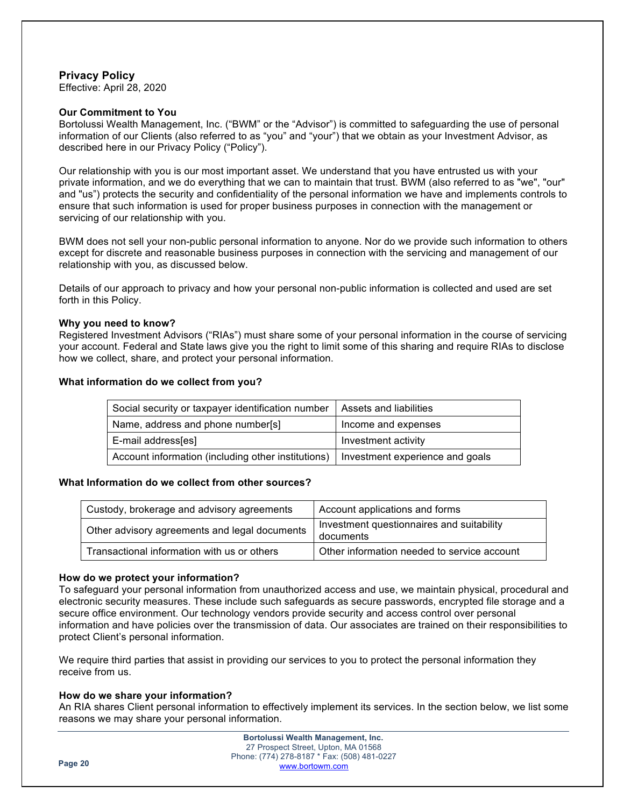## **Privacy Policy**

Effective: April 28, 2020

#### **Our Commitment to You**

Bortolussi Wealth Management, Inc. ("BWM" or the "Advisor") is committed to safeguarding the use of personal information of our Clients (also referred to as "you" and "your") that we obtain as your Investment Advisor, as described here in our Privacy Policy ("Policy").

Our relationship with you is our most important asset. We understand that you have entrusted us with your private information, and we do everything that we can to maintain that trust. BWM (also referred to as "we", "our" and "us") protects the security and confidentiality of the personal information we have and implements controls to ensure that such information is used for proper business purposes in connection with the management or servicing of our relationship with you.

BWM does not sell your non-public personal information to anyone. Nor do we provide such information to others except for discrete and reasonable business purposes in connection with the servicing and management of our relationship with you, as discussed below.

Details of our approach to privacy and how your personal non-public information is collected and used are set forth in this Policy.

#### **Why you need to know?**

Registered Investment Advisors ("RIAs") must share some of your personal information in the course of servicing your account. Federal and State laws give you the right to limit some of this sharing and require RIAs to disclose how we collect, share, and protect your personal information.

#### **What information do we collect from you?**

| Social security or taxpayer identification number  | Assets and liabilities          |
|----------------------------------------------------|---------------------------------|
| Name, address and phone number[s]                  | Income and expenses             |
| E-mail address[es]                                 | Investment activity             |
| Account information (including other institutions) | Investment experience and goals |

## **What Information do we collect from other sources?**

| Custody, brokerage and advisory agreements    | Account applications and forms                         |
|-----------------------------------------------|--------------------------------------------------------|
| Other advisory agreements and legal documents | Investment questionnaires and suitability<br>documents |
| Transactional information with us or others   | Other information needed to service account            |

#### **How do we protect your information?**

To safeguard your personal information from unauthorized access and use, we maintain physical, procedural and electronic security measures. These include such safeguards as secure passwords, encrypted file storage and a secure office environment. Our technology vendors provide security and access control over personal information and have policies over the transmission of data. Our associates are trained on their responsibilities to protect Client's personal information.

We require third parties that assist in providing our services to you to protect the personal information they receive from us.

## **How do we share your information?**

An RIA shares Client personal information to effectively implement its services. In the section below, we list some reasons we may share your personal information.